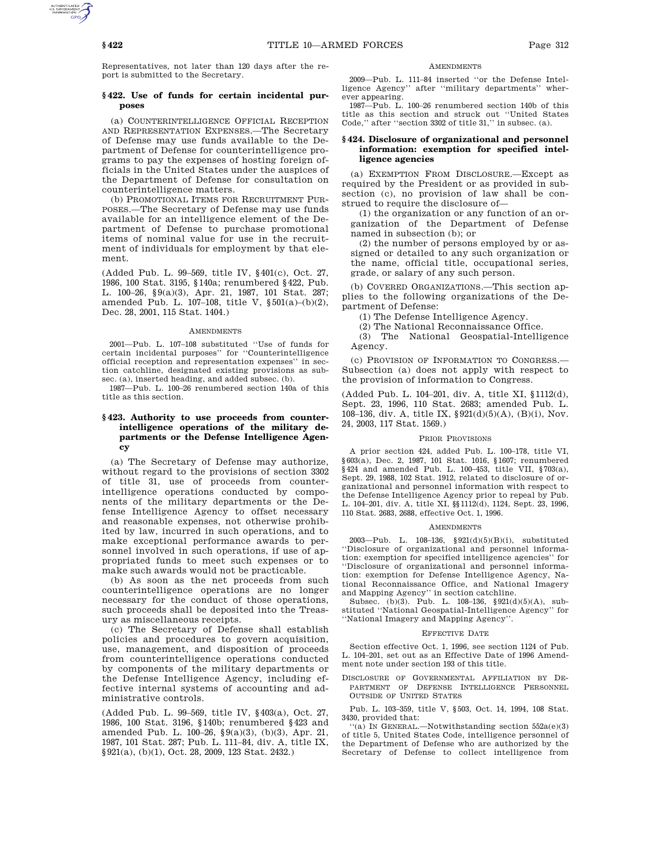Representatives, not later than 120 days after the report is submitted to the Secretary.

# **§ 422. Use of funds for certain incidental purposes**

(a) COUNTERINTELLIGENCE OFFICIAL RECEPTION AND REPRESENTATION EXPENSES.—The Secretary of Defense may use funds available to the Department of Defense for counterintelligence programs to pay the expenses of hosting foreign officials in the United States under the auspices of the Department of Defense for consultation on counterintelligence matters.

(b) PROMOTIONAL ITEMS FOR RECRUITMENT PUR-POSES.—The Secretary of Defense may use funds available for an intelligence element of the Department of Defense to purchase promotional items of nominal value for use in the recruitment of individuals for employment by that element.

(Added Pub. L. 99–569, title IV, §401(c), Oct. 27, 1986, 100 Stat. 3195, §140a; renumbered §422, Pub. L. 100–26, §9(a)(3), Apr. 21, 1987, 101 Stat. 287; amended Pub. L. 107–108, title V, §501(a)–(b)(2), Dec. 28, 2001, 115 Stat. 1404.)

### AMENDMENTS

2001—Pub. L. 107–108 substituted ''Use of funds for certain incidental purposes'' for ''Counterintelligence official reception and representation expenses'' in section catchline, designated existing provisions as subsec. (a), inserted heading, and added subsec. (b).

1987—Pub. L. 100–26 renumbered section 140a of this title as this section.

# **§ 423. Authority to use proceeds from counterintelligence operations of the military departments or the Defense Intelligence Agency**

(a) The Secretary of Defense may authorize, without regard to the provisions of section 3302 of title 31, use of proceeds from counterintelligence operations conducted by components of the military departments or the Defense Intelligence Agency to offset necessary and reasonable expenses, not otherwise prohibited by law, incurred in such operations, and to make exceptional performance awards to personnel involved in such operations, if use of appropriated funds to meet such expenses or to make such awards would not be practicable.

(b) As soon as the net proceeds from such counterintelligence operations are no longer necessary for the conduct of those operations, such proceeds shall be deposited into the Treasury as miscellaneous receipts.

(c) The Secretary of Defense shall establish policies and procedures to govern acquisition, use, management, and disposition of proceeds from counterintelligence operations conducted by components of the military departments or the Defense Intelligence Agency, including effective internal systems of accounting and administrative controls.

(Added Pub. L. 99–569, title IV, §403(a), Oct. 27, 1986, 100 Stat. 3196, §140b; renumbered §423 and amended Pub. L. 100–26, §9(a)(3), (b)(3), Apr. 21, 1987, 101 Stat. 287; Pub. L. 111–84, div. A, title IX, §921(a), (b)(1), Oct. 28, 2009, 123 Stat. 2432.)

### **AMENDMENTS**

2009—Pub. L. 111–84 inserted ''or the Defense Intelligence Agency'' after ''military departments'' wherever appearing.

1987—Pub. L. 100–26 renumbered section 140b of this title as this section and struck out ''United States Code,'' after ''section 3302 of title 31,'' in subsec. (a).

# **§ 424. Disclosure of organizational and personnel information: exemption for specified intelligence agencies**

(a) EXEMPTION FROM DISCLOSURE.—Except as required by the President or as provided in subsection (c), no provision of law shall be construed to require the disclosure of—

(1) the organization or any function of an organization of the Department of Defense named in subsection (b); or

(2) the number of persons employed by or assigned or detailed to any such organization or the name, official title, occupational series, grade, or salary of any such person.

(b) COVERED ORGANIZATIONS.—This section applies to the following organizations of the Department of Defense:

(1) The Defense Intelligence Agency.

(2) The National Reconnaissance Office.

(3) The National Geospatial-Intelligence Agency.

(c) PROVISION OF INFORMATION TO CONGRESS.— Subsection (a) does not apply with respect to the provision of information to Congress.

(Added Pub. L. 104–201, div. A, title XI, §1112(d), Sept. 23, 1996, 110 Stat. 2683; amended Pub. L. 108–136, div. A, title IX,  $\S 921 (\mathrm{d})(5) (\mathrm{A}),$  (B)(i), Nov. 24, 2003, 117 Stat. 1569.)

### PRIOR PROVISIONS

A prior section 424, added Pub. L. 100–178, title VI, §603(a), Dec. 2, 1987, 101 Stat. 1016, §1607; renumbered §424 and amended Pub. L. 100–453, title VII, §703(a), Sept. 29, 1988, 102 Stat. 1912, related to disclosure of organizational and personnel information with respect to the Defense Intelligence Agency prior to repeal by Pub. L. 104–201, div. A, title XI, §§1112(d), 1124, Sept. 23, 1996, 110 Stat. 2683, 2688, effective Oct. 1, 1996.

#### **AMENDMENTS**

2003—Pub. L. 108–136, §921(d)(5)(B)(i), substituted ''Disclosure of organizational and personnel information: exemption for specified intelligence agencies'' for ''Disclosure of organizational and personnel information: exemption for Defense Intelligence Agency, National Reconnaissance Office, and National Imagery and Mapping Agency'' in section catchline.

Subsec. (b)(3). Pub. L. 108–136, §921(d)(5)(A), substituted ''National Geospatial-Intelligence Agency'' for ''National Imagery and Mapping Agency''.

### EFFECTIVE DATE

Section effective Oct. 1, 1996, see section 1124 of Pub. L. 104–201, set out as an Effective Date of 1996 Amendment note under section 193 of this title.

DISCLOSURE OF GOVERNMENTAL AFFILIATION BY DE-PARTMENT OF DEFENSE INTELLIGENCE PERSONNEL OUTSIDE OF UNITED STATES

Pub. L. 103–359, title V, §503, Oct. 14, 1994, 108 Stat. 3430, provided that:

''(a) IN GENERAL.—Notwithstanding section 552a(e)(3) of title 5, United States Code, intelligence personnel of the Department of Defense who are authorized by the Secretary of Defense to collect intelligence from